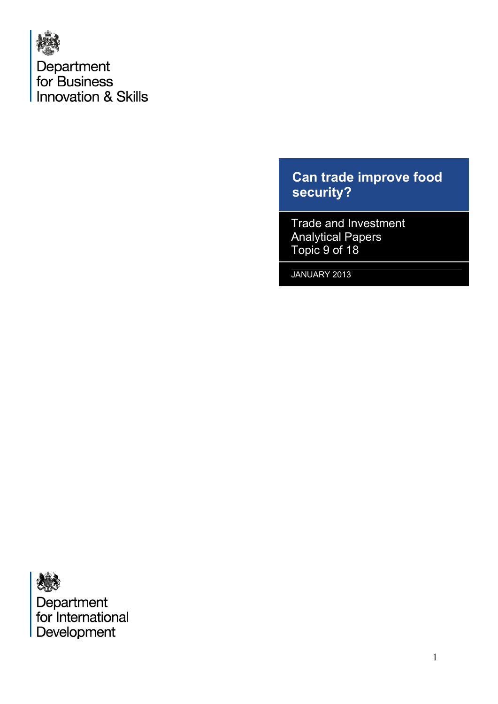

# **Can trade improve food security?**

Trade and Investment Analytical Papers Topic 9 of 18

JANUARY 2013

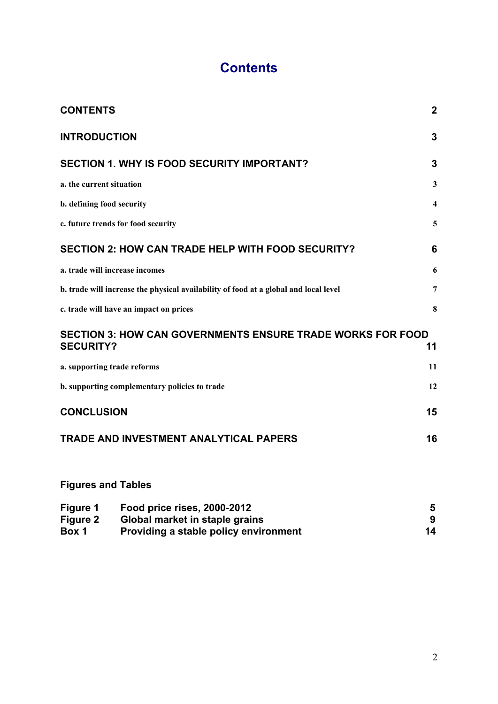# **Contents**

<span id="page-1-0"></span>

| <b>CONTENTS</b>                                                                       | $\overline{2}$ |
|---------------------------------------------------------------------------------------|----------------|
| <b>INTRODUCTION</b>                                                                   | 3              |
| <b>SECTION 1. WHY IS FOOD SECURITY IMPORTANT?</b>                                     | 3              |
| a. the current situation                                                              | 3              |
| b. defining food security                                                             | 4              |
| c. future trends for food security                                                    | 5              |
| <b>SECTION 2: HOW CAN TRADE HELP WITH FOOD SECURITY?</b>                              | 6              |
| a. trade will increase incomes                                                        | 6              |
| b. trade will increase the physical availability of food at a global and local level  | 7              |
| c. trade will have an impact on prices                                                | 8              |
| <b>SECTION 3: HOW CAN GOVERNMENTS ENSURE TRADE WORKS FOR FOOD</b><br><b>SECURITY?</b> | 11             |
| a. supporting trade reforms                                                           | 11             |
| b. supporting complementary policies to trade                                         | 12             |
| <b>CONCLUSION</b>                                                                     | 15             |
| <b>TRADE AND INVESTMENT ANALYTICAL PAPERS</b>                                         | 16             |
| <b>Figures and Tables</b>                                                             |                |

| Figure 1<br>Figure 2<br>Box 1 | Food price rises, 2000-2012                                             |    |
|-------------------------------|-------------------------------------------------------------------------|----|
|                               | Global market in staple grains<br>Providing a stable policy environment | 14 |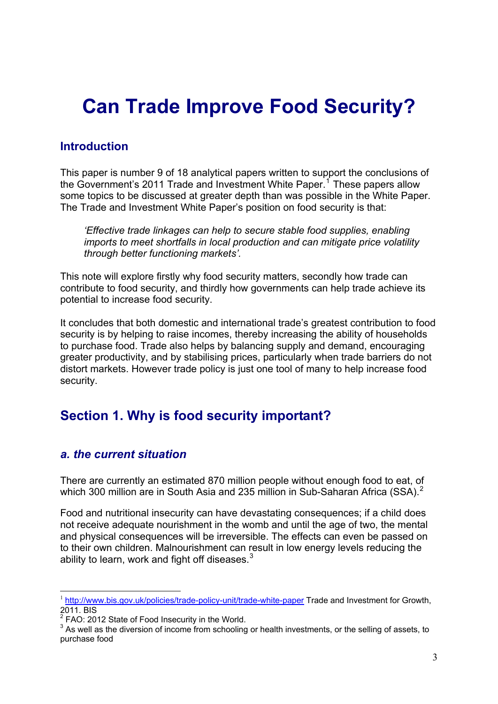# **Can Trade Improve Food Security?**

## <span id="page-2-0"></span>**Introduction**

This paper is number 9 of 18 analytical papers written to support the conclusions of the Government's 20[1](#page-2-3)1 Trade and Investment White Paper.<sup>1</sup> These papers allow some topics to be discussed at greater depth than was possible in the White Paper. The Trade and Investment White Paper's position on food security is that:

*'Effective trade linkages can help to secure stable food supplies, enabling imports to meet shortfalls in local production and can mitigate price volatility through better functioning markets'.* 

This note will explore firstly why food security matters, secondly how trade can contribute to food security, and thirdly how governments can help trade achieve its potential to increase food security.

It concludes that both domestic and international trade's greatest contribution to food security is by helping to raise incomes, thereby increasing the ability of households to purchase food. Trade also helps by balancing supply and demand, encouraging greater productivity, and by stabilising prices, particularly when trade barriers do not distort markets. However trade policy is just one tool of many to help increase food security.

# <span id="page-2-1"></span>**Section 1. Why is food security important?**

## <span id="page-2-2"></span>*a. the current situation*

There are currently an estimated 870 million people without enough food to eat, of which 300 million are in South Asia and [2](#page-2-4)35 million in Sub-Saharan Africa (SSA).<sup>2</sup>

Food and nutritional insecurity can have devastating consequences; if a child does not receive adequate nourishment in the womb and until the age of two, the mental and physical consequences will be irreversible. The effects can even be passed on to their own children. Malnourishment can result in low energy levels reducing the ability to learn, work and fight off diseases. $3$ 

<span id="page-2-3"></span><sup>&</sup>lt;u>.</u> <sup>1</sup> <http://www.bis.gov.uk/policies/trade-policy-unit/trade-white-paper>Trade and Investment for Growth, 2011. BIS

<span id="page-2-4"></span> $2$  FAO: 2012 State of Food Insecurity in the World.

<span id="page-2-5"></span> $3$  As well as the diversion of income from schooling or health investments, or the selling of assets, to purchase food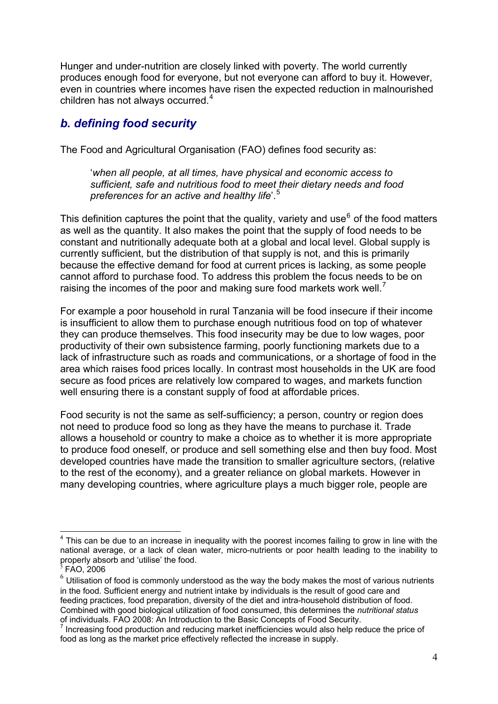Hunger and under-nutrition are closely linked with poverty. The world currently produces enough food for everyone, but not everyone can afford to buy it. However, even in countries where incomes have risen the expected reduction in malnourished children has not always occurred.<sup>[4](#page-3-1)</sup>

## <span id="page-3-0"></span>*b. defining food security*

The Food and Agricultural Organisation (FAO) defines food security as:

 '*when all people, at all times, have physical and economic access to sufficient, safe and nutritious food to meet their dietary needs and food preferences for an active and healthy life*'.[5](#page-3-2)

This definition captures the point that the quality, variety and use $<sup>6</sup>$  $<sup>6</sup>$  $<sup>6</sup>$  of the food matters</sup> as well as the quantity. It also makes the point that the supply of food needs to be constant and nutritionally adequate both at a global and local level. Global supply is currently sufficient, but the distribution of that supply is not, and this is primarily because the effective demand for food at current prices is lacking, as some people cannot afford to purchase food. To address this problem the focus needs to be on raising the incomes of the poor and making sure food markets work well.<sup>[7](#page-3-4)</sup>

For example a poor household in rural Tanzania will be food insecure if their income is insufficient to allow them to purchase enough nutritious food on top of whatever they can produce themselves. This food insecurity may be due to low wages, poor productivity of their own subsistence farming, poorly functioning markets due to a lack of infrastructure such as roads and communications, or a shortage of food in the area which raises food prices locally. In contrast most households in the UK are food secure as food prices are relatively low compared to wages, and markets function well ensuring there is a constant supply of food at affordable prices.

Food security is not the same as self-sufficiency; a person, country or region does not need to produce food so long as they have the means to purchase it. Trade allows a household or country to make a choice as to whether it is more appropriate to produce food oneself, or produce and sell something else and then buy food. Most developed countries have made the transition to smaller agriculture sectors, (relative to the rest of the economy), and a greater reliance on global markets. However in many developing countries, where agriculture plays a much bigger role, people are

<span id="page-3-1"></span><sup>1</sup>  $4$  This can be due to an increase in inequality with the poorest incomes failing to grow in line with the national average, or a lack of clean water, micro-nutrients or poor health leading to the inability to properly absorb and 'utilise' the food.

<span id="page-3-2"></span> $\overline{5}$  FAO, 2006

<span id="page-3-3"></span> $6$  Utilisation of food is commonly understood as the way the body makes the most of various nutrients in the food. Sufficient energy and nutrient intake by individuals is the result of good care and feeding practices, food preparation, diversity of the diet and intra-household distribution of food. Combined with good biological utilization of food consumed, this determines the *nutritional status*  of individuals. FAO 2008: An Introduction to the Basic Concepts of Food Security.

<span id="page-3-4"></span> $<sup>7</sup>$  Increasing food production and reducing market inefficiencies would also help reduce the price of</sup> food as long as the market price effectively reflected the increase in supply.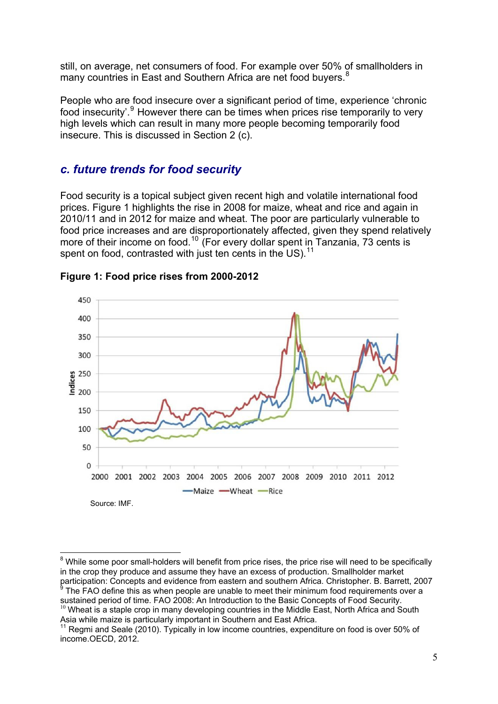still, on average, net consumers of food. For example over 50% of smallholders in many countries in East and Southern Africa are net food buyers.<sup>[8](#page-4-2)</sup>

People who are food insecure over a significant period of time, experience 'chronic food insecurity'.<sup>[9](#page-4-3)</sup> However there can be times when prices rise temporarily to very high levels which can result in many more people becoming temporarily food insecure. This is discussed in Section 2 (c).

#### <span id="page-4-0"></span>*c. future trends for food security*

Food security is a topical subject given recent high and volatile international food prices. Figure 1 highlights the rise in 2008 for maize, wheat and rice and again in 2010/11 and in 2012 for maize and wheat. The poor are particularly vulnerable to food price increases and are disproportionately affected, given they spend relatively more of their income on food.<sup>[10](#page-4-4)</sup> (For every dollar spent in Tanzania, 73 cents is spent on food, contrasted with just ten cents in the US).  $11$ 

<span id="page-4-1"></span>

**Figure 1: Food price rises from 2000-2012** 

<span id="page-4-2"></span><sup>&</sup>lt;sup>8</sup> While some poor small-holders will benefit from price rises, the price rise will need to be specifically in the crop they produce and assume they have an excess of production. Smallholder market participation: Concepts and evidence from eastern and southern Africa. Christopher. B. Barrett, 2007

<span id="page-4-3"></span> $\degree$  The FAO define this as when people are unable to meet their minimum food requirements over a sustained period of time. FAO 2008: An Introduction to the Basic Concepts of Food Security.  $10$  Wheat is a staple crop in many developing countries in the Middle East, North Africa and South Asia while maize is particularly important in Southern and East Africa.

<span id="page-4-4"></span> $11$  Regmi and Seale (2010). Typically in low income countries, expenditure on food is over 50% of income.OECD, 2012.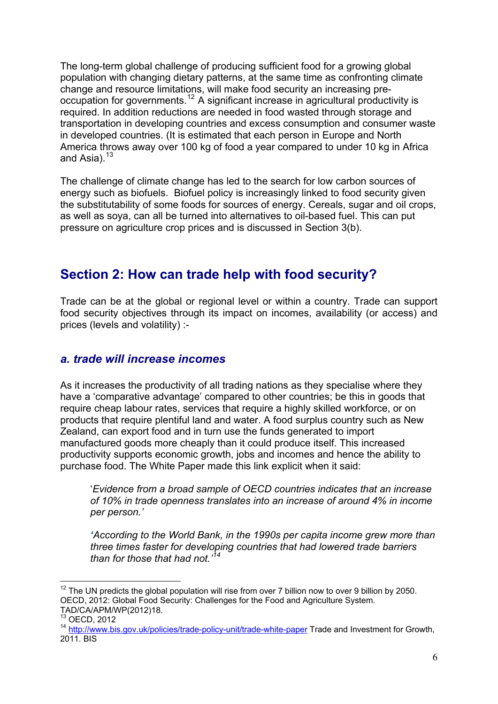The long-term global challenge of producing sufficient food for a growing global population with changing dietary patterns, at the same time as confronting climate change and resource limitations, will make food security an increasing preoccupation for governments.[12](#page-5-2) A significant increase in agricultural productivity is required. In addition reductions are needed in food wasted through storage and transportation in developing countries and excess consumption and consumer waste in developed countries. (It is estimated that each person in Europe and North America throws away over 100 kg of food a year compared to under 10 kg in Africa and Asia). $13$ 

The challenge of climate change has led to the search for low carbon sources of energy such as biofuels. Biofuel policy is increasingly linked to food security given the substitutability of some foods for sources of energy. Cereals, sugar and oil crops, as well as soya, can all be turned into alternatives to oil-based fuel. This can put pressure on agriculture crop prices and is discussed in Section 3(b).

# <span id="page-5-0"></span>**Section 2: How can trade help with food security?**

Trade can be at the global or regional level or within a country. Trade can support food security objectives through its impact on incomes, availability (or access) and prices (levels and volatility) :-

#### <span id="page-5-1"></span>*a. trade will increase incomes*

As it increases the productivity of all trading nations as they specialise where they have a 'comparative advantage' compared to other countries; be this in goods that require cheap labour rates, services that require a highly skilled workforce, or on products that require plentiful land and water. A food surplus country such as New Zealand, can export food and in turn use the funds generated to import manufactured goods more cheaply than it could produce itself. This increased productivity supports economic growth, jobs and incomes and hence the ability to purchase food. The White Paper made this link explicit when it said:

 '*Evidence from a broad sample of OECD countries indicates that an increase of 10% in trade openness translates into an increase of around 4% in income per person.'* 

 *'According to the World Bank, in the 1990s per capita income grew more than three times faster for developing countries that had lowered trade barriers than for those that had not.'[14](#page-5-4)* 

<span id="page-5-2"></span> $12$  The UN predicts the global population will rise from over 7 billion now to over 9 billion by 2050. OECD, 2012: Global Food Security: Challenges for the Food and Agriculture System. TAD/CA/APM/WP(2012)18.

<sup>13</sup> OECD, 2012

<span id="page-5-4"></span><span id="page-5-3"></span><sup>14</sup> <http://www.bis.gov.uk/policies/trade-policy-unit/trade-white-paper>Trade and Investment for Growth, 2011. BIS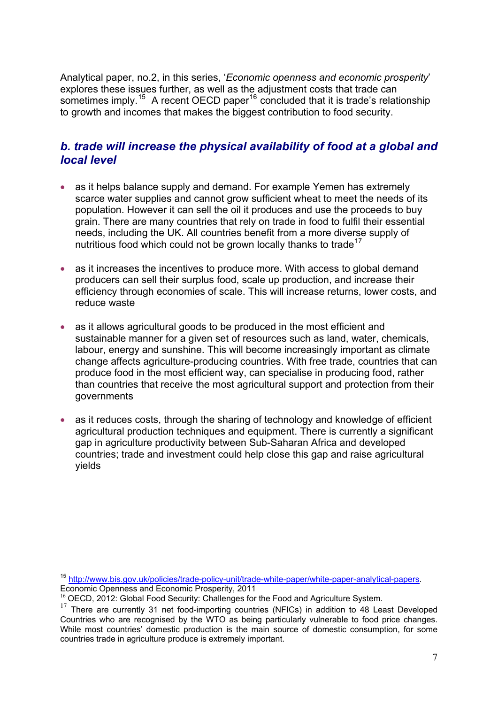Analytical paper, no.2, in this series, '*Economic openness and economic prosperity*' explores these issues further, as well as the adjustment costs that trade can sometimes imply.<sup>[15](#page-6-1)</sup> A recent OECD paper<sup>[16](#page-6-2)</sup> concluded that it is trade's relationship to growth and incomes that makes the biggest contribution to food security.

#### <span id="page-6-0"></span>*b. trade will increase the physical availability of food at a global and local level*

- as it helps balance supply and demand. For example Yemen has extremely scarce water supplies and cannot grow sufficient wheat to meet the needs of its population. However it can sell the oil it produces and use the proceeds to buy grain. There are many countries that rely on trade in food to fulfil their essential needs, including the UK. All countries benefit from a more diverse supply of nutritious food which could not be grown locally thanks to trade<sup>[17](#page-6-3)</sup>
- as it increases the incentives to produce more. With access to global demand producers can sell their surplus food, scale up production, and increase their efficiency through economies of scale. This will increase returns, lower costs, and reduce waste
- as it allows agricultural goods to be produced in the most efficient and sustainable manner for a given set of resources such as land, water, chemicals, labour, energy and sunshine. This will become increasingly important as climate change affects agriculture-producing countries. With free trade, countries that can produce food in the most efficient way, can specialise in producing food, rather than countries that receive the most agricultural support and protection from their governments
- as it reduces costs, through the sharing of technology and knowledge of efficient agricultural production techniques and equipment. There is currently a significant gap in agriculture productivity between Sub-Saharan Africa and developed countries; trade and investment could help close this gap and raise agricultural yields

<span id="page-6-1"></span><sup>&</sup>lt;sup>15</sup> [http://www.bis.gov.uk/policies/trade-policy-unit/trade-white-paper/white-paper-analytical-papers.](http://www.bis.gov.uk/policies/trade-policy-unit/trade-white-paper/white-paper-analytical-papers) Economic Openness and Economic Prosperity, 2011

<sup>&</sup>lt;sup>16</sup> OECD, 2012: Global Food Security: Challenges for the Food and Agriculture System.

<span id="page-6-3"></span><span id="page-6-2"></span> $17$  There are currently 31 net food-importing countries (NFICs) in addition to 48 Least Developed Countries who are recognised by the WTO as being particularly vulnerable to food price changes. While most countries' domestic production is the main source of domestic consumption, for some countries trade in agriculture produce is extremely important.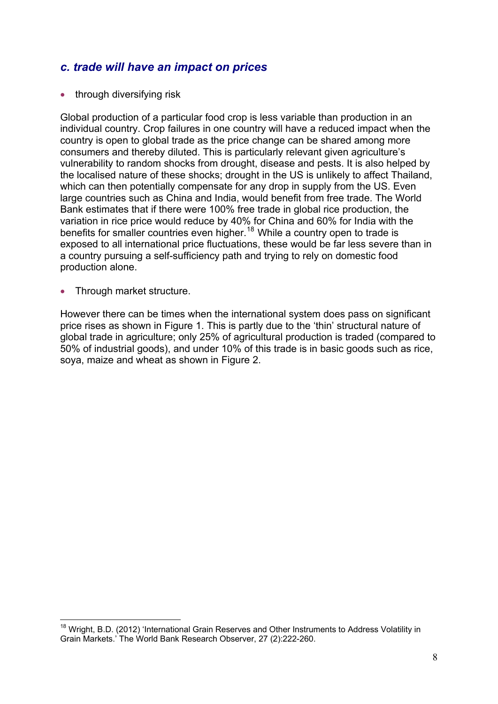#### <span id="page-7-0"></span>*c. trade will have an impact on prices*

• through diversifying risk

Global production of a particular food crop is less variable than production in an individual country. Crop failures in one country will have a reduced impact when the country is open to global trade as the price change can be shared among more consumers and thereby diluted. This is particularly relevant given agriculture's vulnerability to random shocks from drought, disease and pests. It is also helped by the localised nature of these shocks; drought in the US is unlikely to affect Thailand, which can then potentially compensate for any drop in supply from the US. Even large countries such as China and India, would benefit from free trade. The World Bank estimates that if there were 100% free trade in global rice production, the variation in rice price would reduce by 40% for China and 60% for India with the benefits for smaller countries even higher.<sup>[18](#page-7-1)</sup> While a country open to trade is exposed to all international price fluctuations, these would be far less severe than in a country pursuing a self-sufficiency path and trying to rely on domestic food production alone.

• Through market structure.

However there can be times when the international system does pass on significant price rises as shown in Figure 1. This is partly due to the 'thin' structural nature of global trade in agriculture; only 25% of agricultural production is traded (compared to 50% of industrial goods), and under 10% of this trade is in basic goods such as rice, soya, maize and wheat as shown in Figure 2.

<span id="page-7-1"></span><sup>&</sup>lt;u>.</u> <sup>18</sup> Wright, B.D. (2012) 'International Grain Reserves and Other Instruments to Address Volatility in Grain Markets.' The World Bank Research Observer, 27 (2):222-260.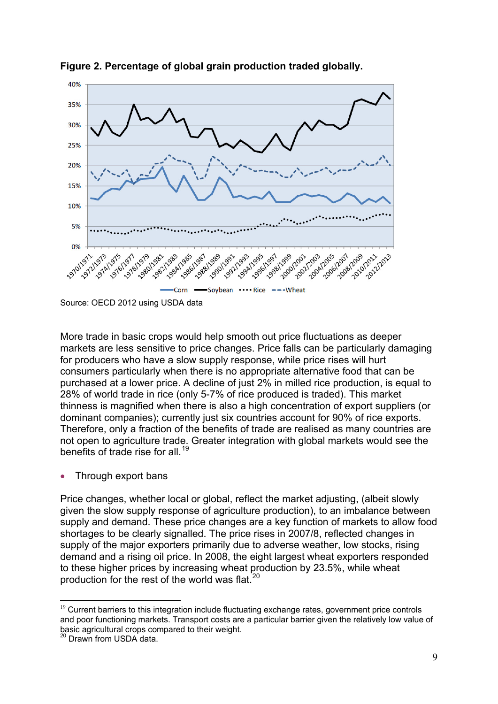

<span id="page-8-0"></span>**Figure 2. Percentage of global grain production traded globally.** 

More trade in basic crops would help smooth out price fluctuations as deeper markets are less sensitive to price changes. Price falls can be particularly damaging for producers who have a slow supply response, while price rises will hurt consumers particularly when there is no appropriate alternative food that can be purchased at a lower price. A decline of just 2% in milled rice production, is equal to 28% of world trade in rice (only 5-7% of rice produced is traded). This market thinness is magnified when there is also a high concentration of export suppliers (or dominant companies); currently just six countries account for 90% of rice exports. Therefore, only a fraction of the benefits of trade are realised as many countries are not open to agriculture trade. Greater integration with global markets would see the benefits of trade rise for all.<sup>[19](#page-8-1)</sup>

Through export bans

Price changes, whether local or global, reflect the market adjusting, (albeit slowly given the slow supply response of agriculture production), to an imbalance between supply and demand. These price changes are a key function of markets to allow food shortages to be clearly signalled. The price rises in 2007/8, reflected changes in supply of the major exporters primarily due to adverse weather, low stocks, rising demand and a rising oil price. In 2008, the eight largest wheat exporters responded to these higher prices by increasing wheat production by 23.5%, while wheat production for the rest of the world was flat. $^{20}$  $^{20}$  $^{20}$ 

Source: OECD 2012 using USDA data

<span id="page-8-1"></span> $19$  Current barriers to this integration include fluctuating exchange rates, government price controls and poor functioning markets. Transport costs are a particular barrier given the relatively low value of basic agricultural crops compared to their weight.

<span id="page-8-2"></span><sup>&</sup>lt;sup>20</sup> Drawn from USDA data.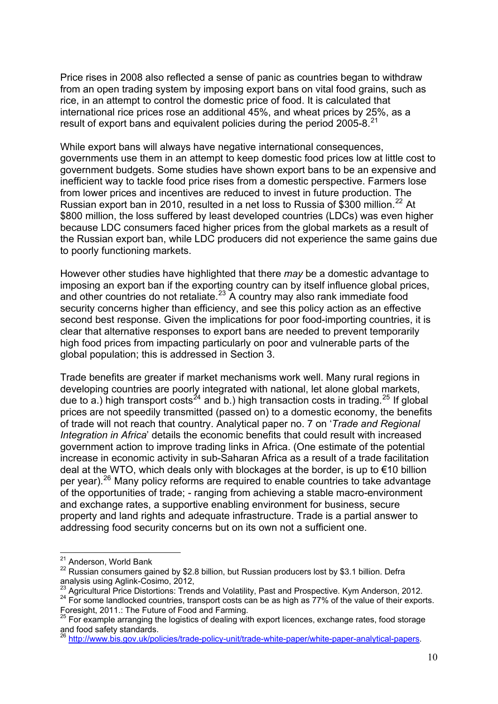Price rises in 2008 also reflected a sense of panic as countries began to withdraw from an open trading system by imposing export bans on vital food grains, such as rice, in an attempt to control the domestic price of food. It is calculated that international rice prices rose an additional 45%, and wheat prices by 25%, as a result of export bans and equivalent policies during the period 2005-8.<sup>[21](#page-9-0)</sup>

While export bans will always have negative international consequences, governments use them in an attempt to keep domestic food prices low at little cost to government budgets. Some studies have shown export bans to be an expensive and inefficient way to tackle food price rises from a domestic perspective. Farmers lose from lower prices and incentives are reduced to invest in future production. The Russian export ban in 2010, resulted in a net loss to Russia of \$300 million.<sup>[22](#page-9-1)</sup> At \$800 million, the loss suffered by least developed countries (LDCs) was even higher because LDC consumers faced higher prices from the global markets as a result of the Russian export ban, while LDC producers did not experience the same gains due to poorly functioning markets.

However other studies have highlighted that there *may* be a domestic advantage to imposing an export ban if the exporting country can by itself influence global prices, and other countries do not retaliate.<sup>[23](#page-9-2)</sup> A country may also rank immediate food security concerns higher than efficiency, and see this policy action as an effective second best response. Given the implications for poor food-importing countries, it is clear that alternative responses to export bans are needed to prevent temporarily high food prices from impacting particularly on poor and vulnerable parts of the global population; this is addressed in Section 3.

Trade benefits are greater if market mechanisms work well. Many rural regions in developing countries are poorly integrated with national, let alone global markets, due to a.) high transport costs<sup>[24](#page-9-3)</sup> and b.) high transaction costs in trading.<sup>[25](#page-9-4)</sup> If global prices are not speedily transmitted (passed on) to a domestic economy, the benefits of trade will not reach that country. Analytical paper no. 7 on '*Trade and Regional Integration in Africa*' details the economic benefits that could result with increased government action to improve trading links in Africa. (One estimate of the potential increase in economic activity in sub-Saharan Africa as a result of a trade facilitation deal at the WTO, which deals only with blockages at the border, is up to €10 billion per year).[26](#page-9-5) Many policy reforms are required to enable countries to take advantage of the opportunities of trade; - ranging from achieving a stable macro-environment and exchange rates, a supportive enabling environment for business, secure property and land rights and adequate infrastructure. Trade is a partial answer to addressing food security concerns but on its own not a sufficient one.

<sup>&</sup>lt;sup>21</sup> Anderson, World Bank

<span id="page-9-1"></span><span id="page-9-0"></span> $22$  Russian consumers gained by \$2.8 billion, but Russian producers lost by \$3.1 billion. Defra analysis using Aglink-Cosimo, 2012,<br><sup>23</sup> Agricultural Price Distortions: Trends and Volatility, Past and Prospective. Kym Anderson, 2012.

<span id="page-9-3"></span><span id="page-9-2"></span> $^{24}$  For some landlocked countries, transport costs can be as high as 77% of the value of their exports. Foresight, 2011.: The Future of Food and Farming.

<span id="page-9-4"></span><sup>&</sup>lt;sup>25</sup> For example arranging the logistics of dealing with export licences, exchange rates, food storage and food safety standards.

<span id="page-9-5"></span>and rood sarety standards.<br><sup>26</sup> http://www.bis.gov.uk/<u>policies/trade-policy-unit/trade-white-paper/white-paper-analytical-papers</u>.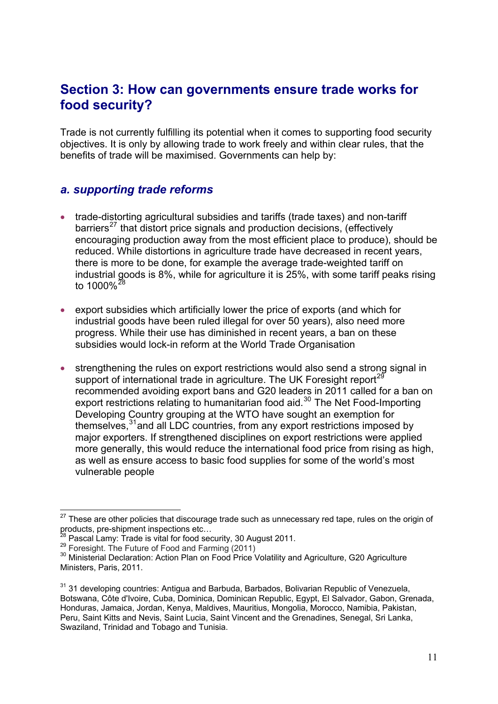# <span id="page-10-0"></span>**Section 3: How can governments ensure trade works for food security?**

Trade is not currently fulfilling its potential when it comes to supporting food security objectives. It is only by allowing trade to work freely and within clear rules, that the benefits of trade will be maximised. Governments can help by:

#### <span id="page-10-1"></span>*a. supporting trade reforms*

- trade-distorting agricultural subsidies and tariffs (trade taxes) and non-tariff barriers<sup>[27](#page-10-2)</sup> that distort price signals and production decisions, (effectively encouraging production away from the most efficient place to produce), should be reduced. While distortions in agriculture trade have decreased in recent years, there is more to be done, for example the average trade-weighted tariff on industrial goods is 8%, while for agriculture it is 25%, with some tariff peaks rising to  $1000\%$ <sup>[28](#page-10-3)</sup>
- export subsidies which artificially lower the price of exports (and which for industrial goods have been ruled illegal for over 50 years), also need more progress. While their use has diminished in recent years, a ban on these subsidies would lock-in reform at the World Trade Organisation
- strengthening the rules on export restrictions would also send a strong signal in support of international trade in agriculture. The UK Foresight report<sup>[29](#page-10-4)</sup> recommended avoiding export bans and G20 leaders in 2011 called for a ban on export restrictions relating to humanitarian food aid.<sup>[30](#page-10-5)</sup> The Net Food-Importing Developing Country grouping at the WTO have sought an exemption for themselves,<sup>[31](#page-10-6)</sup> and all LDC countries, from any export restrictions imposed by major exporters. If strengthened disciplines on export restrictions were applied more generally, this would reduce the international food price from rising as high, as well as ensure access to basic food supplies for some of the world's most vulnerable people

<span id="page-10-2"></span> $27$  These are other policies that discourage trade such as unnecessary red tape, rules on the origin of products, pre-shipment inspections etc...<br>
<sup>28</sup> Pascal Lamy: Trade is vital for food security, 30 August 2011.<br>
<sup>29</sup> Foresight. The Future of Food and Farming (2011)<br>
<sup>30</sup> Ministerial Declaration: Action Plan on Food Price

<span id="page-10-3"></span>

<span id="page-10-5"></span><span id="page-10-4"></span>Ministers, Paris, 2011.

<span id="page-10-6"></span> $31$  31 developing countries: Antigua and Barbuda, Barbados, Bolivarian Republic of Venezuela, Botswana, Côte d'Ivoire, Cuba, Dominica, Dominican Republic, Egypt, El Salvador, Gabon, Grenada, Honduras, Jamaica, Jordan, Kenya, Maldives, Mauritius, Mongolia, Morocco, Namibia, Pakistan, Peru, Saint Kitts and Nevis, Saint Lucia, Saint Vincent and the Grenadines, Senegal, Sri Lanka, Swaziland, Trinidad and Tobago and Tunisia.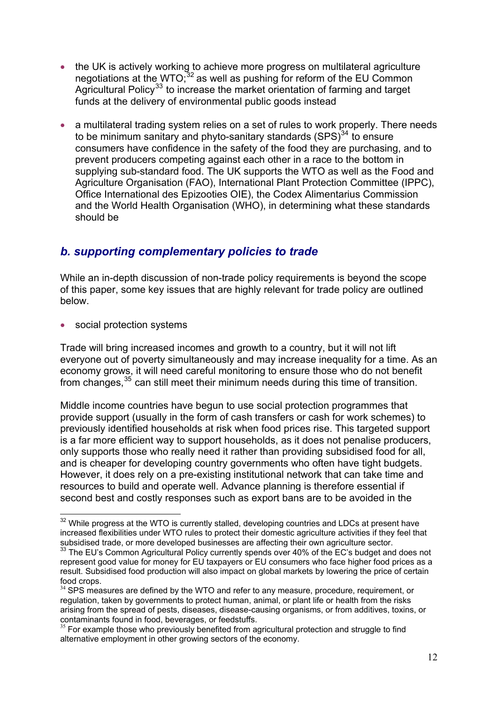- the UK is actively working to achieve more progress on multilateral agriculture negotiations at the WTO; $32$  as well as pushing for reform of the EU Common Agricultural Policy<sup>[33](#page-11-2)</sup> to increase the market orientation of farming and target funds at the delivery of environmental public goods instead
- a multilateral trading system relies on a set of rules to work properly. There needs to be minimum sanitary and phyto-sanitary standards  $(SPS)^{34}$  $(SPS)^{34}$  $(SPS)^{34}$  to ensure consumers have confidence in the safety of the food they are purchasing, and to prevent producers competing against each other in a race to the bottom in supplying sub-standard food. The UK supports the WTO as well as the Food and Agriculture Organisation (FAO), International Plant Protection Committee (IPPC), Office International des Epizooties OIE), the Codex Alimentarius Commission and the World Health Organisation (WHO), in determining what these standards should be

## <span id="page-11-0"></span>*b. supporting complementary policies to trade*

While an in-depth discussion of non-trade policy requirements is beyond the scope of this paper, some key issues that are highly relevant for trade policy are outlined below.

social protection systems

1

Trade will bring increased incomes and growth to a country, but it will not lift everyone out of poverty simultaneously and may increase inequality for a time. As an economy grows, it will need careful monitoring to ensure those who do not benefit from changes,  $35$  can still meet their minimum needs during this time of transition.

Middle income countries have begun to use social protection programmes that provide support (usually in the form of cash transfers or cash for work schemes) to previously identified households at risk when food prices rise. This targeted support is a far more efficient way to support households, as it does not penalise producers, only supports those who really need it rather than providing subsidised food for all, and is cheaper for developing country governments who often have tight budgets. However, it does rely on a pre-existing institutional network that can take time and resources to build and operate well. Advance planning is therefore essential if second best and costly responses such as export bans are to be avoided in the

<span id="page-11-1"></span> $32$  While progress at the WTO is currently stalled, developing countries and LDCs at present have increased flexibilities under WTO rules to protect their domestic agriculture activities if they feel that subsidised trade, or more developed businesses are affecting their own agriculture sector.

<span id="page-11-2"></span> $33$  The EU's Common Agricultural Policy currently spends over 40% of the EC's budget and does not represent good value for money for EU taxpayers or EU consumers who face higher food prices as a result. Subsidised food production will also impact on global markets by lowering the price of certain food crops.

<span id="page-11-3"></span><sup>&</sup>lt;sup>34</sup> SPS measures are defined by the WTO and refer to any measure, procedure, requirement, or regulation, taken by governments to protect human, animal, or plant life or health from the risks arising from the spread of pests, diseases, disease-causing organisms, or from additives, toxins, or contaminants found in food, beverages, or feedstuffs.

<span id="page-11-4"></span> $35$  For example those who previously benefited from agricultural protection and struggle to find alternative employment in other growing sectors of the economy.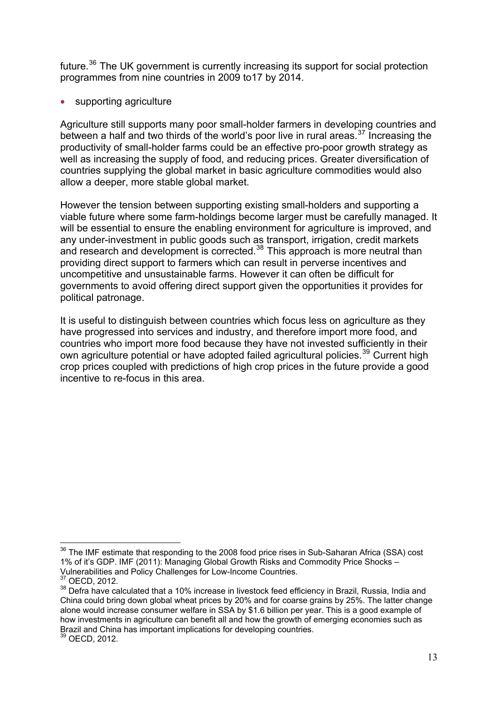future.<sup>[36](#page-12-0)</sup> The UK government is currently increasing its support for social protection programmes from nine countries in 2009 to17 by 2014.

• supporting agriculture

Agriculture still supports many poor small-holder farmers in developing countries and between a half and two thirds of the world's poor live in rural areas.<sup>[37](#page-12-1)</sup> Increasing the productivity of small-holder farms could be an effective pro-poor growth strategy as well as increasing the supply of food, and reducing prices. Greater diversification of countries supplying the global market in basic agriculture commodities would also allow a deeper, more stable global market.

However the tension between supporting existing small-holders and supporting a viable future where some farm-holdings become larger must be carefully managed. It will be essential to ensure the enabling environment for agriculture is improved, and any under-investment in public goods such as transport, irrigation, credit markets and research and development is corrected.<sup>[38](#page-12-2)</sup> This approach is more neutral than providing direct support to farmers which can result in perverse incentives and uncompetitive and unsustainable farms. However it can often be difficult for governments to avoid offering direct support given the opportunities it provides for political patronage.

It is useful to distinguish between countries which focus less on agriculture as they have progressed into services and industry, and therefore import more food, and countries who import more food because they have not invested sufficiently in their own agriculture potential or have adopted failed agricultural policies.<sup>[39](#page-12-3)</sup> Current high crop prices coupled with predictions of high crop prices in the future provide a good incentive to re-focus in this area.

<span id="page-12-0"></span> $36$  The IMF estimate that responding to the 2008 food price rises in Sub-Saharan Africa (SSA) cost 1% of it's GDP. IMF (2011): Managing Global Growth Risks and Commodity Price Shocks – Vulnerabilities and Policy Challenges for Low-Income Countries.<br><sup>37</sup> OECD, 2012.

<span id="page-12-2"></span><span id="page-12-1"></span><sup>&</sup>lt;sup>38</sup> Defra have calculated that a 10% increase in livestock feed efficiency in Brazil, Russia, India and China could bring down global wheat prices by 20% and for coarse grains by 25%. The latter change alone would increase consumer welfare in SSA by \$1.6 billion per year. This is a good example of how investments in agriculture can benefit all and how the growth of emerging economies such as Brazil and China has important implications for developing countries.

<span id="page-12-3"></span><sup>39</sup> OECD, 2012.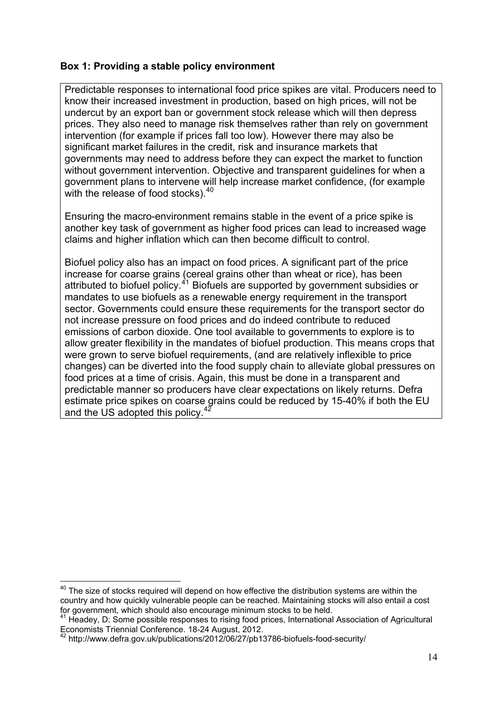#### **Box 1: Providing a stable policy environment**

Predictable responses to international food price spikes are vital. Producers need to know their increased investment in production, based on high prices, will not be undercut by an export ban or government stock release which will then depress prices. They also need to manage risk themselves rather than rely on government intervention (for example if prices fall too low). However there may also be significant market failures in the credit, risk and insurance markets that governments may need to address before they can expect the market to function without government intervention. Objective and transparent guidelines for when a government plans to intervene will help increase market confidence, (for example with the release of food stocks). $40$ 

Ensuring the macro-environment remains stable in the event of a price spike is another key task of government as higher food prices can lead to increased wage claims and higher inflation which can then become difficult to control.

<span id="page-13-0"></span>Biofuel policy also has an impact on food prices. A significant part of the price increase for coarse grains (cereal grains other than wheat or rice), has been attributed to biofuel policy. $4^4$  Biofuels are supported by government subsidies or mandates to use biofuels as a renewable energy requirement in the transport sector. Governments could ensure these requirements for the transport sector do not increase pressure on food prices and do indeed contribute to reduced emissions of carbon dioxide. One tool available to governments to explore is to allow greater flexibility in the mandates of biofuel production. This means crops that were grown to serve biofuel requirements, (and are relatively inflexible to price changes) can be diverted into the food supply chain to alleviate global pressures on food prices at a time of crisis. Again, this must be done in a transparent and predictable manner so producers have clear expectations on likely returns. Defra estimate price spikes on coarse grains could be reduced by 15-40% if both the EU and the US adopted this policy.<sup>4</sup>

<span id="page-13-1"></span><sup>1</sup>  $40$  The size of stocks required will depend on how effective the distribution systems are within the country and how quickly vulnerable people can be reached. Maintaining stocks will also entail a cost for government, which should also encourage minimum stocks to be held.

<span id="page-13-2"></span><sup>&</sup>lt;sup>41</sup> Headey, D: Some possible responses to rising food prices, International Association of Agricultural Economists Triennial Conference. 18-24 August, 2012.

<span id="page-13-3"></span><sup>42</sup> http://www.defra.gov.uk/publications/2012/06/27/pb13786-biofuels-food-security/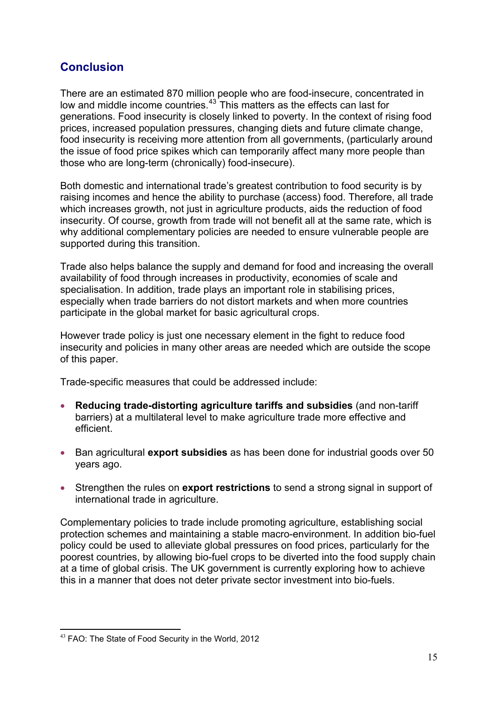## <span id="page-14-0"></span>**Conclusion**

There are an estimated 870 million people who are food-insecure, concentrated in low and middle income countries.<sup>[43](#page-14-1)</sup> This matters as the effects can last for generations. Food insecurity is closely linked to poverty. In the context of rising food prices, increased population pressures, changing diets and future climate change, food insecurity is receiving more attention from all governments, (particularly around the issue of food price spikes which can temporarily affect many more people than those who are long-term (chronically) food-insecure).

Both domestic and international trade's greatest contribution to food security is by raising incomes and hence the ability to purchase (access) food. Therefore, all trade which increases growth, not just in agriculture products, aids the reduction of food insecurity. Of course, growth from trade will not benefit all at the same rate, which is why additional complementary policies are needed to ensure vulnerable people are supported during this transition.

Trade also helps balance the supply and demand for food and increasing the overall availability of food through increases in productivity, economies of scale and specialisation. In addition, trade plays an important role in stabilising prices, especially when trade barriers do not distort markets and when more countries participate in the global market for basic agricultural crops.

However trade policy is just one necessary element in the fight to reduce food insecurity and policies in many other areas are needed which are outside the scope of this paper.

Trade-specific measures that could be addressed include:

- **Reducing trade-distorting agriculture tariffs and subsidies** (and non-tariff barriers) at a multilateral level to make agriculture trade more effective and efficient.
- Ban agricultural **export subsidies** as has been done for industrial goods over 50 years ago.
- Strengthen the rules on **export restrictions** to send a strong signal in support of international trade in agriculture.

Complementary policies to trade include promoting agriculture, establishing social protection schemes and maintaining a stable macro-environment. In addition bio-fuel policy could be used to alleviate global pressures on food prices, particularly for the poorest countries, by allowing bio-fuel crops to be diverted into the food supply chain at a time of global crisis. The UK government is currently exploring how to achieve this in a manner that does not deter private sector investment into bio-fuels.

<span id="page-14-1"></span><sup>1</sup> <sup>43</sup> FAO: The State of Food Security in the World, 2012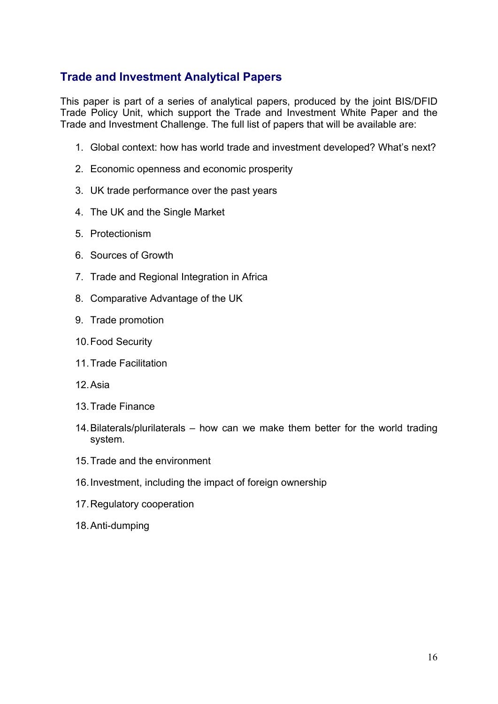## <span id="page-15-0"></span>**Trade and Investment Analytical Papers**

This paper is part of a series of analytical papers, produced by the joint BIS/DFID Trade Policy Unit, which support the Trade and Investment White Paper and the Trade and Investment Challenge. The full list of papers that will be available are:

- 1. Global context: how has world trade and investment developed? What's next?
- 2. Economic openness and economic prosperity
- 3. UK trade performance over the past years
- 4. The UK and the Single Market
- 5. Protectionism
- 6. Sources of Growth
- 7. Trade and Regional Integration in Africa
- 8. Comparative Advantage of the UK
- 9. Trade promotion
- 10. Food Security
- 11. Trade Facilitation
- 12. Asia
- 13. Trade Finance
- 14. Bilaterals/plurilaterals how can we make them better for the world trading system.
- 15. Trade and the environment
- 16. Investment, including the impact of foreign ownership
- 17. Regulatory cooperation
- 18. Anti-dumping